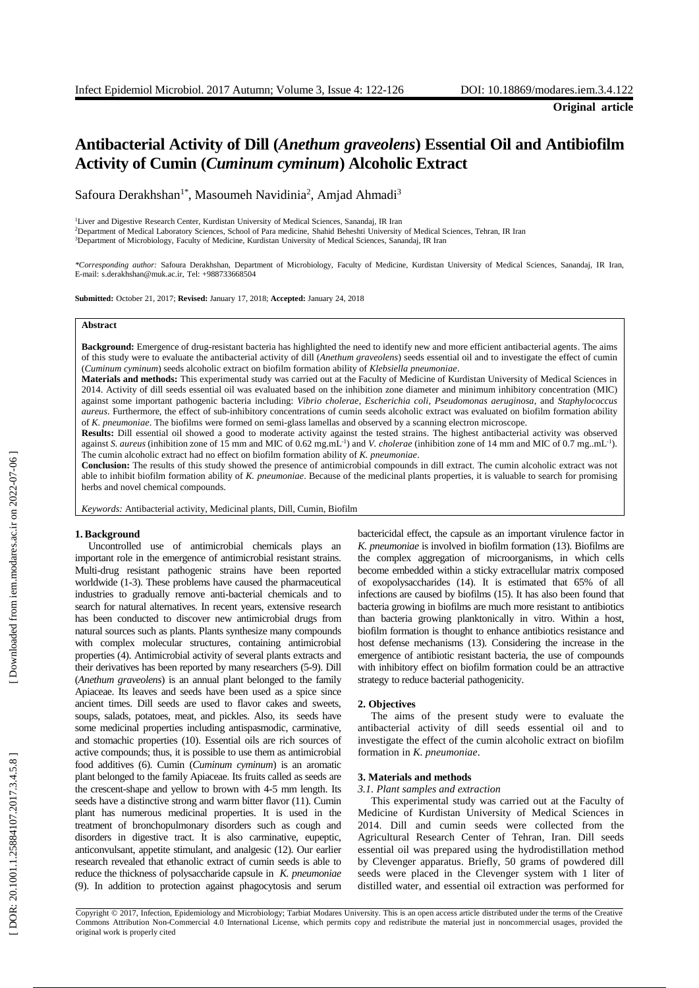# Antibacterial Activity of Dill (Anethum graveolens) Essential Oil and Antibiofilm **Activity of Cumin (***Cuminum cyminum***) Alcoholic Extract**

Safoura Derakhshan<sup>1\*</sup>, Masoumeh Navidinia<sup>2</sup>, Amjad Ahmadi<sup>3</sup>

<sup>1</sup>Liver and Digestive Research Center, Kurdistan University of Medical Sciences, Sanandaj, IR Iran <sup>2</sup>Department of Medical Laboratory Sciences, School of Para medicine, Shahid Beheshti University of Medical Sciences, Tehran, IR Iran <sup>3</sup>Department of Microbiology, Faculty of Medicine, Kurdistan University of Medical Sciences, Sanandaj, IR Iran

*\*Corresponding author:* Safoura Derakhshan, Department of Microbiology, Faculty of Medicine, Kurdistan University of Medical Sciences, Sanandaj, IR Iran, E-mail: s.derakhshan@muk.ac.ir, Tel: +988733668504

**Submitted:** October 21, 2017; **Revised:** January 17, 2018; **Accepted:** January 24, 2018

## **Abstract**

Background: Emergence of drug-resistant bacteria has highlighted the need to identify new and more efficient antibacterial agents. The aims of this study were to evaluate the antibacterial activity of dill (Anethum graveolens) seeds essential oil and to investigate the effect of cumin (Cuminum cyminum) seeds alcoholic extract on biofilm formation ability of Kl

**Materials and methods:** This experimental study was carried out at the Faculty of Medicine of Kurdistan University of Medical Sciences in 2014. Activity of dill seeds essential oil was evaluated bas ed on the inhibition zone diameter and minimum inhibitory concentration (MIC) against some important pathogenic bacteria including: *Vibrio cholerae*, *Escherichia coli* , *Pseudomonas aeruginosa* , and *Staphylococcus aureus*. Furthermore, the effect of sub -inhibitory concentrations of cumin seeds alcoholic extract was evaluated on biofilm formation ability of *K. pneumoniae*. The biofilms were formed on semi-glass lamellas and observed by a scanning electron microscope.

**Results:** Dill essential oil showed a good to moderate activity against the tested strains. The highest antibacterial activity was observed against *S. aureus* (inhibition zone of 15 mm and MIC of 0.62 mg.mL<sup>-1</sup>) and *V. cholerae* (inhibition zone of 14 mm and MIC of 0.7 mg..mL<sup>-1</sup>). The cumin alcoholic extract had no effect on biofilm formation ability of *K. pneumoniae* .

**Conclusion:** The results of this study showed the presence of antimicrobial compounds in dill extract. The cumin alcoholic extract was not able to inhibit biofilm formation ability of *K. pneumoniae* . Because of the medicinal plants properties, it is valuable to search for promising herbs and novel chemical compounds.

*Keywords:* Antibacterial activity, Medicinal plants , Dill, Cumin, Biofilm

#### **1 . Background**

Uncontrolled use of antimicrobial chemicals plays an important role in the emergence of antimicrobial resistant strains. Multi -drug resistant pathogenic strains have been reported worldwide (1-3). These problems have caused the pharmaceutical industries to gradually remove anti -bacterial chemical s and to search for natural alternatives. In recent years, extensive research has been conducted to discover new antimicrobial drug s from natural sources such as plants. Plants synthesize many compounds with complex molecular structures, containing antimicrobial properties ( 4 ). Antimicrobial activity of several plant s extracts and their derivatives has been reported by many researchers (5-9). Dill (*Anethum graveolens*) is an annual plant belonged to the family Apiaceae. Its leaves and seeds have been used as a spice since ancient times. Dill seeds are used to flavor cakes and sweets, soups, salads, potatoes, meat , and pickles. Also, its seeds have some medicinal properties including antispasmodic, carminative , and stomachic properties (10 ). Essential oils are rich sources of active compounds; thus, it is possible to use them as antimicrobial food additives (6). Cumin (*Cuminum cyminum*) is an aromatic plant belonged to the family Apiaceae. Its fruit s called as seeds are the crescent -shape and yellow to brown with 4 -5 mm length. Its seeds have a distinctive strong and warm bitter flavor (11 ). Cumin plant has numerous medicinal properties. It is used in the treatment of bronch opulmonary disorders such as cough and disorders in digestive tract. It is also carminative, eupeptic, anticonvulsant , appetite stimulant , and analgesic (12 ) . Our earlier research revealed that ethanolic extract of cumin seeds is able to reduce the thickness of polysaccharide capsule in *K. pneumoniae* (9). In addition to protection against phagocytosis and serum

bactericidal effect, the capsule as an important virulence factor in *K. pneumoniae* is involved in biofilm formation (13 ). Biofilms are the complex aggregation of microorganisms , in which cells become embedded within a sticky extracellular matrix composed of exopolysaccharides (14 ) . It is estimated that 65% of all infections are caused by biofilms (15 ) . It has also been found that bacteria growing in biofilms are much more resistant to antibiotics than bacteria growing planktonically in vitro . Within a host, biofilm formation is thought to enhance antibiotic s resistance and host defense mechanisms (13 ) . Considering the increase in the emergence of antibiotic resistant bacteria, the use of compounds with inhibitory effect on biofilm formation could be an attractive strategy to reduce bacterial pathogenicity .

## **2. Objectives**

The aims of the present study were to evaluate the antibacterial activity of dill seeds essential oil and to investigate the effect of the cumin alcoholic extract on biofilm formation in *K. pneumoniae* .

#### **3. Materials and methods**

#### *3.1. Plant samples and extraction*

This experimental study was carried out at the Faculty of Medicine of Kurdistan University of Medical Sciences in 2014. Dill and cumin seeds were collected from the Agricultural Research Center of Tehran, Iran. Dill seeds essential oil was prepared using the hydrodistillation method by Clevenger apparatus. Briefly, 50 grams of powdered dill seeds were placed in the Clevenger system with 1 liter of distilled water , and essential oil extraction was performed for

Copyright © 2017, Infection, Epidemiology and Microbiology; Tarbiat Modares University. This is an open access article distributed under the terms of the Creative Commons Attribution Non -Commercial 4.0 International License, which permits copy and redistribute the material just in noncommercial usages, provided the original work is properly cited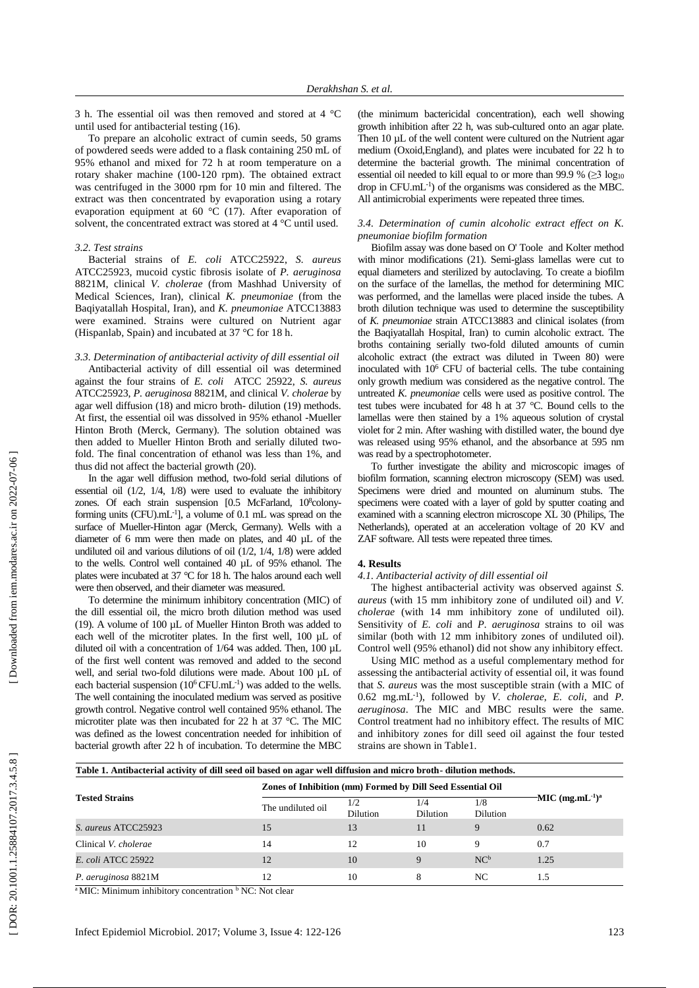3 h. The essential oil was then removed and stored at 4 °C until use d for antibacterial testing (16 ) .

To prepare an alcoholic extract of cumin seed s, 50 grams of powdered seeds were added to a flask containing 250 mL of 9 5 % ethanol and mixed for 72 h at room temperature on a rotary shaker machine (100 -120 rpm ). The obtained extract was centrifuged in the 3000 rpm for 10 min and filtered. The extract was then concentrated by evaporation using a rotary evaporation equipment at 60 °C (17 ). After evaporation of solvent, the concentrated extract was stored at 4 °C until used.

#### *3.2. Test strains*

Bacterial strains of *E . coli* ATCC25922, *S. aureus* ATCC25923, mucoid cystic fibrosis isolate of *P . aeruginosa* 8821M, clinical *V. cholerae* (from Mashhad University of Medical Sciences, Iran), clinical *K. pneumoniae* (from the Baqiyatallah Hospital, Iran ) , and *K. pneumoniae* ATCC13883 were examined. Strains were cultured on Nutrient agar (Hispanlab, Spain) and incubated at 37 °C for 18 h.

## *3.3. Determination of antibacterial activity of dill essential oil*

Antibacterial activity of dill essential oil was determined against the four strains of *E. coli* ATCC 25922, *S. aureus* ATCC25923, *P. aeruginosa* 8821M, and clinical *V. cholerae* by agar well diffusion (18 ) and micro broth - dilution (19 ) methods. At first, the essential oil was dissolved in 95% ethanol -Mueller Hinton Broth (Merck, Germany). The solution obtained was then added to Mueller Hinton Broth and serially diluted two fold. The final concentration of ethanol was less than 1%, and thus did not affect the bacterial growth (20 ) .

In the agar well diffusion method, two -fold serial dilutions of essential oil (1/2, 1/4, 1/8) were used to evaluate the inhibitory zones. Of each strain suspension [0.5 McFarland, 10<sup>8</sup>colonyforming units (CFU).mL<sup>-1</sup>], a volume of 0.1 mL was spread on the surface of Mueller-Hinton agar (Merck, Germany ) . Wells with a diameter of 6 mm were then made on plates, and 40 µL of the undiluted oil and various dilutions of oil  $(1/2, 1/4, 1/8)$  were added to the wells. Control well contained 40 µ L of 9 5% ethanol. The plates were incubated at 37 °C for 18 h. The halos around each well were then observed , and their diameter was measured.

To determine the minimum inhibitory concentration (MIC) of the dill essential oil, the micro broth dilution method was used (19). A volume of 100 µL of Mueller Hinton Broth was added to each well of the microtiter plates. In the first well, 100 µL of diluted oil with a concentration of 1/64 was added. Then, 100 µL of the first well content was removed and added to the second well, and serial two-fold dilutions were made. About 100 µL of each bacterial suspension (10<sup>6</sup> CFU.mL<sup>-1</sup>) was added to the wells. The well containing the inoculated medium was served as positive growth control. Negative control well contained 95% ethanol . The microtiter plate was then incubated for 22 h at 37 °C. The MIC was defined as the lowest concentration needed for inhibition of bacterial growth after 22 h of incubation. To determine the MBC

(the minimum bactericidal concentration), each well showing growth inhibition after 22 h , was sub -cultured onto an agar plate. Then 10 µL of the well content were cultured on the Nutrient agar medium (Oxoid,England ) , and plates were incubated for 2 2 h to determine the bacterial growth. The minimal concentration of essential oil needed to kill equal to or more than 99.9 %  $( \geq 3 \text{ log}10)$ drop in CFU .mL - 1 ) of the organisms was considered as the MBC. All antimicrobial experiments were repeated three times .

### *3.4. Determination of cumin alcoholic extract effect on K. pneumoniae biofilm formation*

Biofilm assay was done based on O' Toole and Kolter method with minor modification s (21 ). Semi -glass lamellas were cut to equal diameters and sterilized by autoclaving. To create a biofilm on the surface of the lamellas, the method for determining MIC was performed , and the lamellas were placed inside the tubes. A broth dilution technique was used to determine the susceptibility of *K. pneumoniae* strain ATCC13883 and clinical isolates (from the Baqiyatallah Hospital, Iran) to cumin alcoholic extract. The broths containing serially two -fold diluted amounts of cumin alcoholic extract (the extract was diluted in Tween 80) were inoculated with 10 <sup>6</sup> CFU of bacterial cells. The tube containing only growth medium was considered as the negative control. The untreated *K. pneumoniae* cells were used as positive control. The test tubes were incubated for 48 h at 37 °C. Bound cells to the lamellas were then stained by a 1% aqueous solution of crystal violet for 2 min. After washing with distilled water, the bound dye was release d using 95% ethanol , and the absorbance at 595 nm was read by a spectrophotometer.

To further investigate the ability and microscopic images of biofilm formation, scanning electron microscopy (SEM) was used. Specimens were dried and mounted on aluminum stubs. The specimens were coated with a layer of gold by sputter coating and examined with a scanning electron microscope XL 30 (Philips, The Netherlands) , operated at an acceleration voltage of 20 KV and ZAF software. All tests were repeated three times.

#### **4. Results**

## *4.1. Antibacterial activity of dill essential oil*

The highest antibacterial activity was observed against *S . aureus* (with 15 mm inhibitory zone of undiluted oil ) and *V. cholerae* (with 14 mm inhibitory zone of undiluted oil ). Sensitivity of *E . coli* and *P . aeruginosa* strains to oil was similar (both with 12 mm inhibitory zones of undiluted oil). Control well (95% ethanol ) did not show any inhibitory effect .

Using MIC method as a useful complementary method for assessing the antibacterial activity of essential oil, it was found that *S. aureus* was the most susceptible strain (with a MIC of 0.62 mg . mL - 1 ) , followed by *V. cholerae*, *E. coli* , and *P. aeruginosa* . The MIC and MBC results were the same. Control treatment had no inhibitory effect. The results of MIC and inhibitory zones for dill seed oil against the four tested strains are shown in Table1 .

| <b>Tested Strains</b>     | Table 1. Antibacterial activity of dill seed oil based on agar well diffusion and micro broth-dilution methods.<br>Zones of Inhibition (mm) Formed by Dill Seed Essential Oil |                        |                        |                        |                                            |
|---------------------------|-------------------------------------------------------------------------------------------------------------------------------------------------------------------------------|------------------------|------------------------|------------------------|--------------------------------------------|
|                           | The undiluted oil                                                                                                                                                             | 1/2<br><b>Dilution</b> | 1/4<br><b>Dilution</b> | 1/8<br><b>Dilution</b> | $-MIC$ (mg.mL <sup>-1</sup> ) <sup>a</sup> |
| S. aureus ATCC25923       | 15                                                                                                                                                                            | 13                     | 11                     | 9                      | 0.62                                       |
| Clinical V. cholerae      | 14                                                                                                                                                                            | 12                     | 10                     | 9                      | 0.7                                        |
| <i>E. coli ATCC 25922</i> | 12                                                                                                                                                                            | 10                     | $\mathbf Q$            | NC <sup>b</sup>        | 1.25                                       |
| P. aeruginosa 8821M       | 12                                                                                                                                                                            | 10                     | 8                      | NC.                    | 1.5                                        |

<sup>a</sup> MIC: Minimum inhibitory concentration <sup>b</sup> NC: Not clear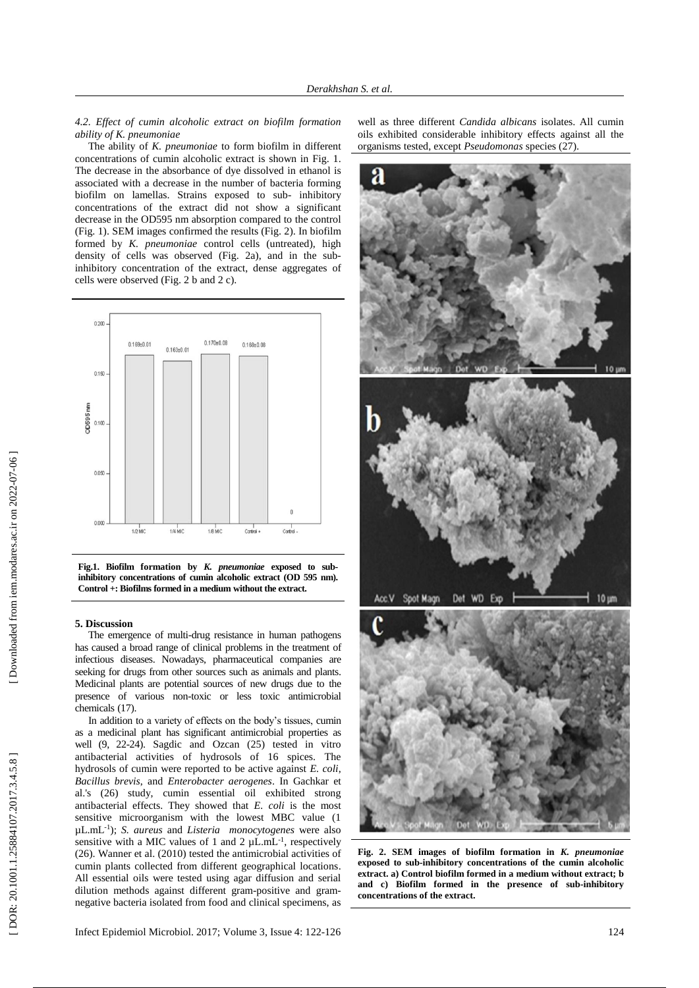*4.2. Effect of cumin alcoholic extract on biofilm formation ability of K. pneumoniae*

The ability of *K. pneumoniae* to form biofilm in different concentrations of cumin alcoholic extract is shown in Fig . 1. The decrease in the absorbance of dye dissolved in ethanol is associated with a decrease in the number of bacteria forming biofilm on lamellas. Strains exposed to sub - inhibitory concentrations of the extract did not show a significant decrease in the OD595 nm absorption compared to the control (Fig. 1). SEM images confirmed the results (Fig. 2). In biofilm formed by *K. pneumoniae* control cells (untreated), high density of cells was observed (Fig. 2a), and in the sub inhibitory concentration of the extract, dense aggregates of cells were observed (Fig. 2 b and 2 c).



**Fig.1. Biofilm formation by** *K. pneumoniae* **exposed to sub inhibitory concentrations of cumin alcoholic extract (OD 595 nm). Control +: Biofilms formed in a medium without the extract .**

## **5. Discussion**

The emergence of multi -drug resistance in human pathogens has caused a broad range of clinical problems in the treatment of infectious diseases. Nowadays, pharmaceutical companies are seeking for drugs from other sources such as animals and plants. Medicinal plants are potential sources of new drugs due to the presence of various non -toxic or less toxic antimicrobial chemicals (17 ).

In addition to a variety of effects on the body's tissues, cumin as a medicinal plant has significant antimicrobial properties as well ( 9, 22 -24 ) . Sagdic and Ozcan (25 ) tested in vitro antibacterial activities of hydrosols of 16 spices. The hydrosols of cumin were reported to be active against *E. coli*, *Bacillus brevis*, and *Enterobacter aerogenes*. In Gachkar et al.'s (26 ) study, cumin essential oil exhibited strong antibacterial effects. They showed that *E. coli* is the most sensitive microorganism with the lowest MBC value (1 µL.mL - 1 ); *S. aureus* and *Listeria monocytogenes* were also sensitive with a MIC values of 1 and 2  $\mu$ L.mL<sup>-1</sup>, respectively (26 ) . Wanner et al. (2010) tested the antimicrobial activities of cumin plants collected from different geographical locations. All essential oils were tested using agar diffusion and serial dilution methods against different gram -positive and gram negative bacteria isolated from food and clinical specimens, as

Infect Epidemiol Microbiol. 2017; Volume 3, Issue 4: 122

well as three different *Candida albicans* isolates. All cumin oils exhibited considerable inhibitory effects against all the organisms tested, except *Pseudomonas* species (27 ) .





**Fig. 2. SEM images of biofilm formation in**  *K. pneumoniae* **exposed to sub -inhibitory concentrations of the cumin alcoholic extract. a) Control biofilm formed in a medium without extract; b and c) Biofilm formed in the presence of sub -inhibitory concentrations of the extract.**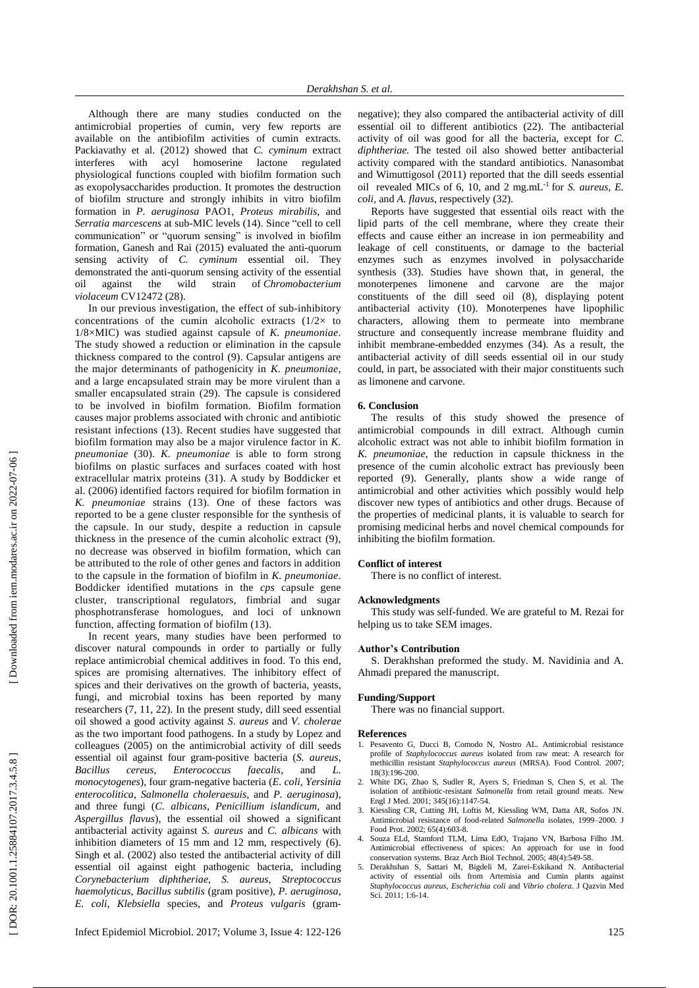Although there are many studies conducted on the antimicrobial properties of cumin, very few reports are available on the antibiofilm activities of cumin extracts. Packiavathy et al. (2012) showed that *C. cyminum* extract interferes with acyl homoserine lactone regulated physiological functions coupled with biofilm formation such as exopolysaccharides production. It promotes the destruction of biofilm structure and strongly inhibits in vitro biofilm formation in *P. aeruginosa* PAO1, *Proteus mirabilis* , and Serratia marcescens at sub-MIC levels (14). Since "cell to cell communication" or "quorum sensing" is involved in biofilm formation, Ganesh and Rai (2015) evaluated the anti -quorum sensing activity of *C. cyminum* essential oil. They demonstrated the anti -quorum sensing activity of the essential oil against the wild strain of *Chromobacterium violaceum* CV12472 (28 ) .

In our previous investigation, the effect of sub -inhibitory concentrations of the cumin alcoholic extracts  $(1/2 \times$  to 1 / 8 ×MIC) was studied against capsule of *K. pneumoniae*. The study showed a reduction or elimination in the capsule thickness compared to the control ( 9 ). Capsular antigens are the major determinants of pathogenicity in *K. pneumoniae*, and a large encapsulated strain may be more virulent than a smaller encapsulated strain (29 ). The capsule is considered to be involved in biofilm formation. Biofilm formation causes major problems associated with chronic and antibiotic resistant infections (13 ). Recent studies have suggested that biofilm formation may also be a major virulence factor in *K. pneumoniae*  (30 ). *K. pneumoniae* is able to form strong biofilm s on plastic surfaces and surfaces coated with host extracellular matrix proteins (31 ). A study by Boddicker et al. (2006) identified factors required for biofilm formation in *K. pneumoniae* strains (13 ). One of these factors was reported to be a gene cluster responsible for the synthesis of the capsule. In our study, despite a reduction in capsule thickness in the presence of the cumin alcoholic extract ( 9 ), no decrease was observed in biofilm formation, which can be attributed to the role of other genes and factors in addition to the capsule in the formation of biofilm in *K. pneumoniae*. Boddicker identified mutations in the *cps* capsule gene cluster, transcriptional regulators, fimbrial and sugar phosphotransferase homologues, and loci of unknown function, affecting formation of biofilm (13 ) .

In recent years, many studies have been performed to discover natural compounds in order to partially or fully replace antimicrobial chemical additives in food . To this end , spices are promising alternative s. The inhibitory effect of spices and their derivatives on the growth of bacteria, yeasts, fungi, and microbial toxin s has been reported by many researchers ( 7, 11, 22 ) . In the present study, dill seed essential oil showed a good activity against *S* . *aureus* and *V. cholerae* as the two important food pathogens . In a study by Lopez and colleagues (2005) on the antimicrobial activity of dill seed s essential oil against four gram -positive bacteria (*S. aureus*, *Bacillus cereus*, *Enterococcus faecalis*, and *L. monocytogenes*), four gram -negative bacteria (*E. coli*, *Yersinia enterocolitica*, *Salmonella choleraesuis*, and *P. aeruginosa*), and three fungi (*C. albicans*, *Penicillium islandicum* , and *Aspergillus flavus*), the essential oil showed a significant antibacterial activity against *S. aureus* and *C. albicans* with inhibition diameters of 15 mm and 12 mm, respectively (6). Singh et al. (2002) also tested the antibacterial activity of dill essential oil against eight pathogenic bacteria, including *Corynebacterium diphtheriae*, *S. aureus* , *Streptococcus haemolyticus*, *Bacillus subtilis* (gram positive), *P. aeruginosa*, *E. coli*, *Klebsiella* species , and *Proteus vulgaris* (gram -

negative) ; they also compared the antibacterial activity of dill essential oil to different antibiotics (22 ). The antibacterial activity of oil was good for all the bacteria, except for *C. diphther iae.* The tested oil also showed better antibacterial activity compared with the standard antibiotics. Nanasombat and Wimuttigosol (2011 ) reported that the dill seeds essential oil revealed MICs of  $6$ ,  $10$ , and  $2 \text{ mg.mL}^{-1}$  for *S. aureus, E.* coli, and A. flavus, respectively (32).

Reports have suggested that essential oils react with the lipid parts of the cell membrane , where they create their effect s and caus e either an increase in ion permeability and leakage of cell constituents, or damage to the bacterial enzyme s such as enzymes involved in polysaccharide synthesis (33 ). Studies have shown that, in general, the monoterpenes limonene and carvone are the major constituents of the dill seed oil ( 8 ) , displaying potent antibacterial activity (10 ) . Monoterpenes have lipophilic character s , allowing them to permeate into membrane structure and consequently increase membrane fluidity and inhibit membrane -embedded enzymes (34 ). As a result, the antibacterial activity of dill seeds essential oil in our study could, in part, be associated with their major constituents such as limonene and carvone.

## **6. Conclusion**

The results of this study showed the presence of antimicrobial compounds in dill extract. Although cumin alcoholic extract was not able to inhibit biofilm formation in *K. pneumoniae* , the reduction in capsule thickness in the presence of the cumin alcoholic extract has previously been reported ( 9 ). Generally, plants show a wide range of antimicrobial and other activities which possibly would help discover new types of antibiotics and other drugs . Because of the properties of medicinal plants, it is valuable to search for promising medicinal herbs and novel chemical compounds for inhibiting the biofilm formation.

## **Conflict of interest**

There is no conflict of interest .

#### **Acknowledgment s**

This study was self-funded. We are grateful to M. Rezai for helping us to take SEM images.

#### **Author's Contribution**

S. Derakhshan preformed the study. M. Navidinia and A. Ahmadi prepared the manuscript.

## **Funding/Support**

There was no financial support.

#### **References**

- 1. Pesavento G, Ducci B, Comodo N, Nostro AL. Antimicrobial resistance profile of *Staphylococcus aureus* isolated from raw meat: A research for methicillin resistant *Staphylococcus aureus* (MRSA). Food Control. 2007; 18(3):196 -200.
- 2. White DG, Zhao S, Sudler R, Ayers S, Friedman S, Chen S, et al. The isolation of antibiotic -resistant *Salmonella* from retail ground meats. New Engl J Med. 2001; 345(16):1147 -54.
- 3. Kiessling CR, Cutting JH, Loftis M, Kiessling WM, Datta AR, Sofos JN. Antimicrobial resistance of food-related *Salmonella* isolates, 1999-2000. J Food Prot. 2002; 65(4):603 -8.
- 4. Souza ELd, Stamford TLM, Lima EdO, Trajano VN, Barbosa Filho JM. Antimicrobial effectiveness of spices: An approach for use in food conservation systems. Braz Arch Biol Technol. 2005; 48(4):549 -58.
- 5. Derakhshan S, Sattari M, Bigdeli M, Zarei -Eskikand N. Antibacterial activity of essential oils from Artemisia and Cumin plants against *Staphylococcus aureus*, *Escherichia coli* and *Vibrio cholera*. J Qazvin Med Sci. 2011; 1:6 -14.